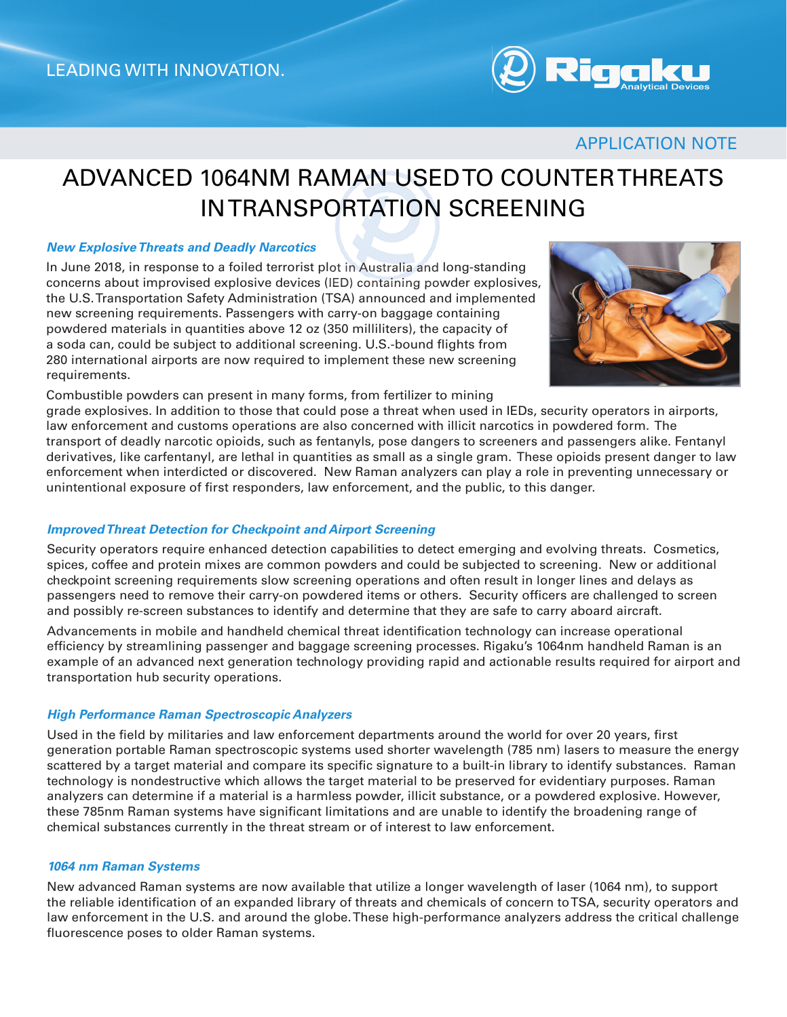

### APPLICATION NOTE

# ADVANCED 1064NM RAMAN USED TO COUNTER THREATS IN TRANSPORTATION SCREENING

#### *New Explosive Threats and Deadly Narcotics*

In June 2018, in response to a foiled terrorist plot in Australia and long-standing concerns about improvised explosive devices (IED) containing powder explosives, the U.S. Transportation Safety Administration (TSA) announced and implemented new screening requirements. Passengers with carry-on baggage containing powdered materials in quantities above 12 oz (350 milliliters), the capacity of a soda can, could be subject to additional screening. U.S.-bound flights from 280 international airports are now required to implement these new screening requirements.





grade explosives. In addition to those that could pose a threat when used in IEDs, security operators in airports, law enforcement and customs operations are also concerned with illicit narcotics in powdered form. The transport of deadly narcotic opioids, such as fentanyls, pose dangers to screeners and passengers alike. Fentanyl derivatives, like carfentanyl, are lethal in quantities as small as a single gram. These opioids present danger to law enforcement when interdicted or discovered. New Raman analyzers can play a role in preventing unnecessary or unintentional exposure of first responders, law enforcement, and the public, to this danger.

#### *Improved Threat Detection for Checkpoint and Airport Screening*

Security operators require enhanced detection capabilities to detect emerging and evolving threats. Cosmetics, spices, coffee and protein mixes are common powders and could be subjected to screening. New or additional checkpoint screening requirements slow screening operations and often result in longer lines and delays as passengers need to remove their carry-on powdered items or others. Security officers are challenged to screen and possibly re-screen substances to identify and determine that they are safe to carry aboard aircraft.

Advancements in mobile and handheld chemical threat identification technology can increase operational efficiency by streamlining passenger and baggage screening processes. Rigaku's 1064nm handheld Raman is an example of an advanced next generation technology providing rapid and actionable results required for airport and transportation hub security operations.

#### *High Performance Raman Spectroscopic Analyzers*

Used in the field by militaries and law enforcement departments around the world for over 20 years, first generation portable Raman spectroscopic systems used shorter wavelength (785 nm) lasers to measure the energy scattered by a target material and compare its specific signature to a built-in library to identify substances. Raman technology is nondestructive which allows the target material to be preserved for evidentiary purposes. Raman analyzers can determine if a material is a harmless powder, illicit substance, or a powdered explosive. However, these 785nm Raman systems have significant limitations and are unable to identify the broadening range of chemical substances currently in the threat stream or of interest to law enforcement.

#### *1064 nm Raman Systems*

New advanced Raman systems are now available that utilize a longer wavelength of laser (1064 nm), to support the reliable identification of an expanded library of threats and chemicals of concern to TSA, security operators and law enforcement in the U.S. and around the globe. These high-performance analyzers address the critical challenge fluorescence poses to older Raman systems.